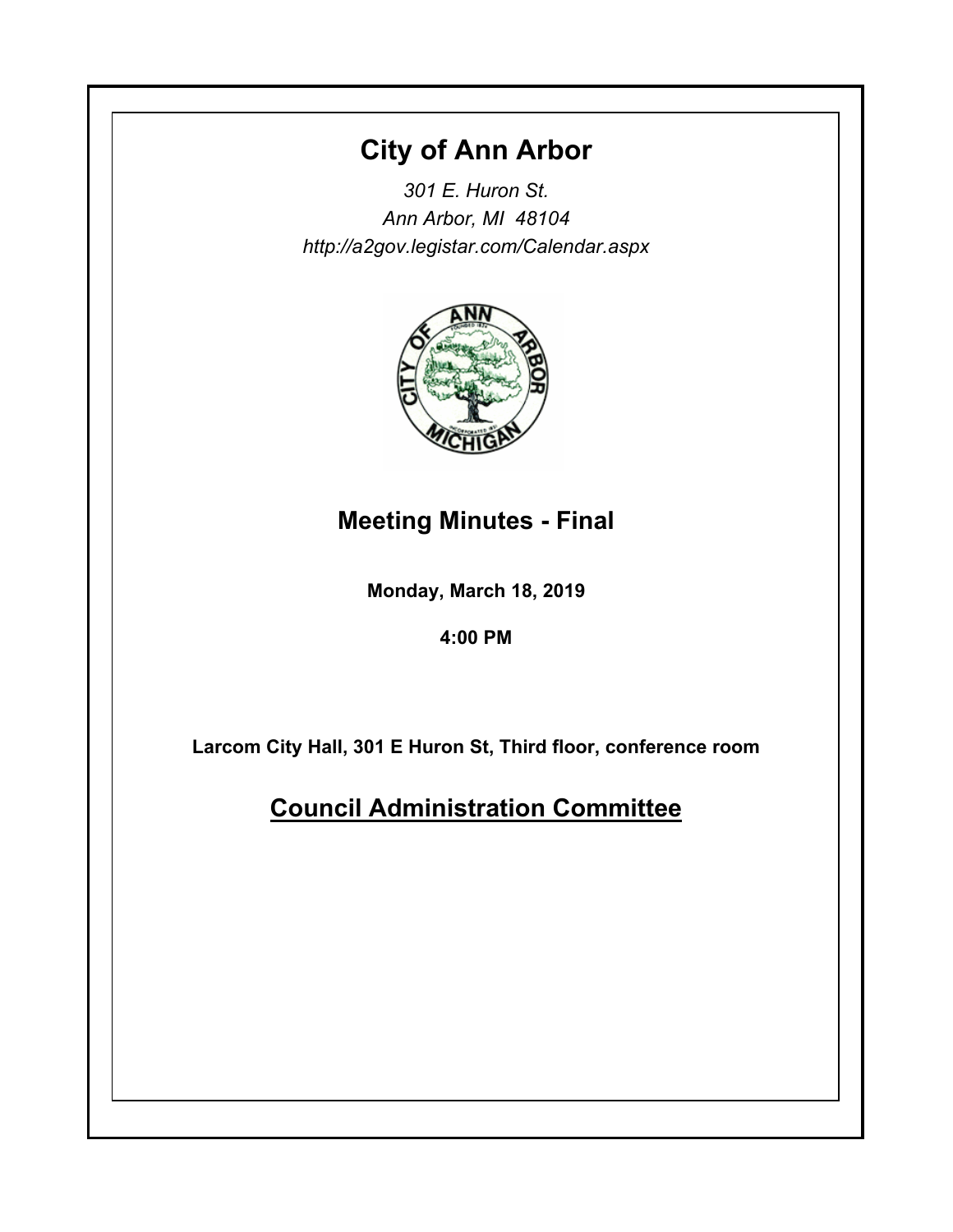## **City of Ann Arbor**

*301 E. Huron St. Ann Arbor, MI 48104 http://a2gov.legistar.com/Calendar.aspx*



# **Meeting Minutes - Final**

**Monday, March 18, 2019**

**4:00 PM**

**Larcom City Hall, 301 E Huron St, Third floor, conference room**

**Council Administration Committee**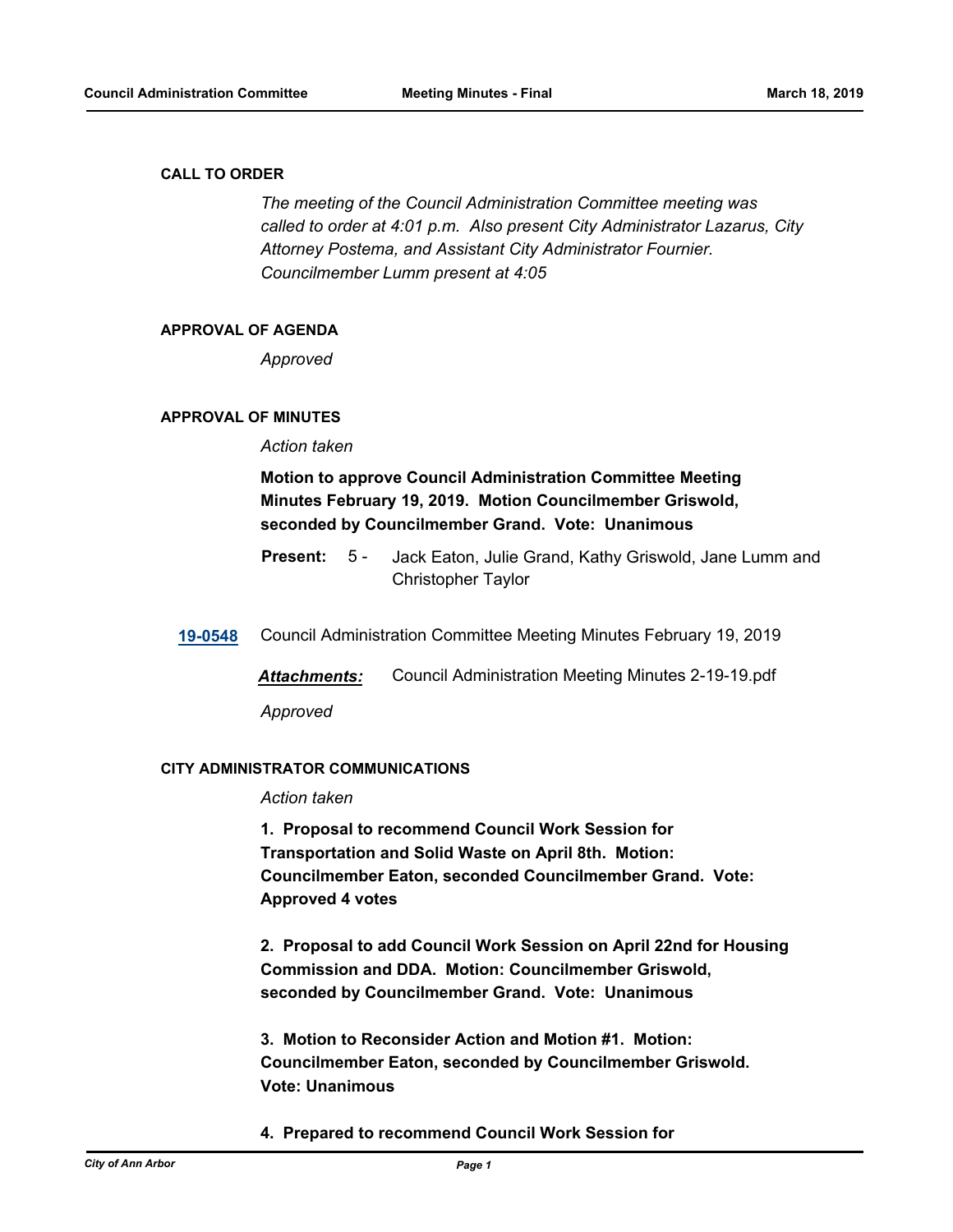#### **CALL TO ORDER**

*The meeting of the Council Administration Committee meeting was called to order at 4:01 p.m. Also present City Administrator Lazarus, City Attorney Postema, and Assistant City Administrator Fournier. Councilmember Lumm present at 4:05*

#### **APPROVAL OF AGENDA**

*Approved*

#### **APPROVAL OF MINUTES**

*Action taken*

## **Motion to approve Council Administration Committee Meeting Minutes February 19, 2019. Motion Councilmember Griswold, seconded by Councilmember Grand. Vote: Unanimous**

- Jack Eaton, Julie Grand, Kathy Griswold, Jane Lumm and Christopher Taylor **Present:** 5 -
- **[19-0548](http://a2gov.legistar.com/gateway.aspx?M=L&ID=22241)** Council Administration Committee Meeting Minutes February 19, 2019

*Attachments:* Council Administration Meeting Minutes 2-19-19.pdf

*Approved*

#### **CITY ADMINISTRATOR COMMUNICATIONS**

## *Action taken*

**1. Proposal to recommend Council Work Session for Transportation and Solid Waste on April 8th. Motion: Councilmember Eaton, seconded Councilmember Grand. Vote: Approved 4 votes**

**2. Proposal to add Council Work Session on April 22nd for Housing Commission and DDA. Motion: Councilmember Griswold, seconded by Councilmember Grand. Vote: Unanimous**

**3. Motion to Reconsider Action and Motion #1. Motion: Councilmember Eaton, seconded by Councilmember Griswold. Vote: Unanimous**

## **4. Prepared to recommend Council Work Session for**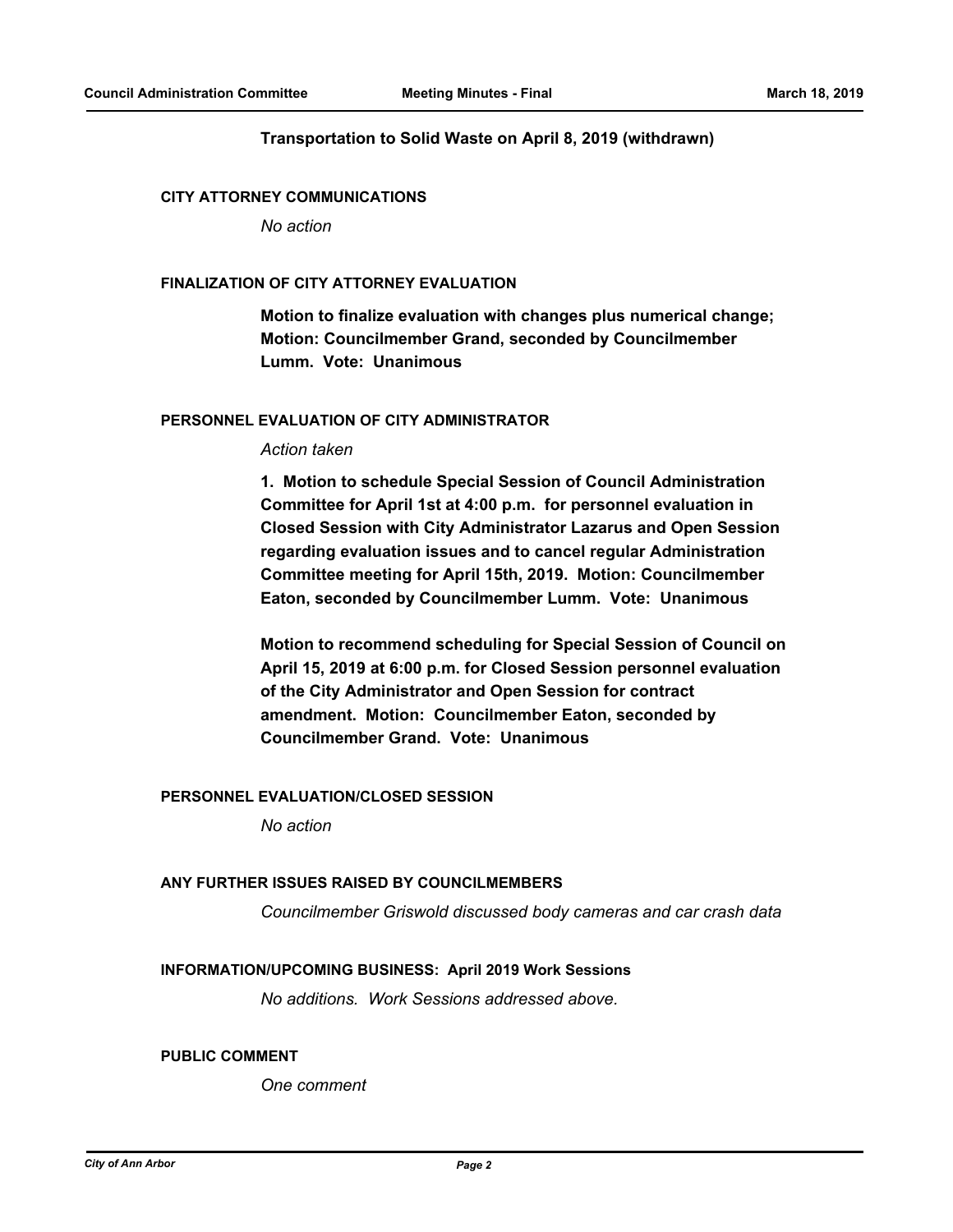#### **Transportation to Solid Waste on April 8, 2019 (withdrawn)**

#### **CITY ATTORNEY COMMUNICATIONS**

*No action*

#### **FINALIZATION OF CITY ATTORNEY EVALUATION**

**Motion to finalize evaluation with changes plus numerical change; Motion: Councilmember Grand, seconded by Councilmember Lumm. Vote: Unanimous**

#### **PERSONNEL EVALUATION OF CITY ADMINISTRATOR**

#### *Action taken*

**1. Motion to schedule Special Session of Council Administration Committee for April 1st at 4:00 p.m. for personnel evaluation in Closed Session with City Administrator Lazarus and Open Session regarding evaluation issues and to cancel regular Administration Committee meeting for April 15th, 2019. Motion: Councilmember Eaton, seconded by Councilmember Lumm. Vote: Unanimous**

**Motion to recommend scheduling for Special Session of Council on April 15, 2019 at 6:00 p.m. for Closed Session personnel evaluation of the City Administrator and Open Session for contract amendment. Motion: Councilmember Eaton, seconded by Councilmember Grand. Vote: Unanimous**

### **PERSONNEL EVALUATION/CLOSED SESSION**

*No action*

#### **ANY FURTHER ISSUES RAISED BY COUNCILMEMBERS**

*Councilmember Griswold discussed body cameras and car crash data*

#### **INFORMATION/UPCOMING BUSINESS: April 2019 Work Sessions**

*No additions. Work Sessions addressed above.*

#### **PUBLIC COMMENT**

*One comment*